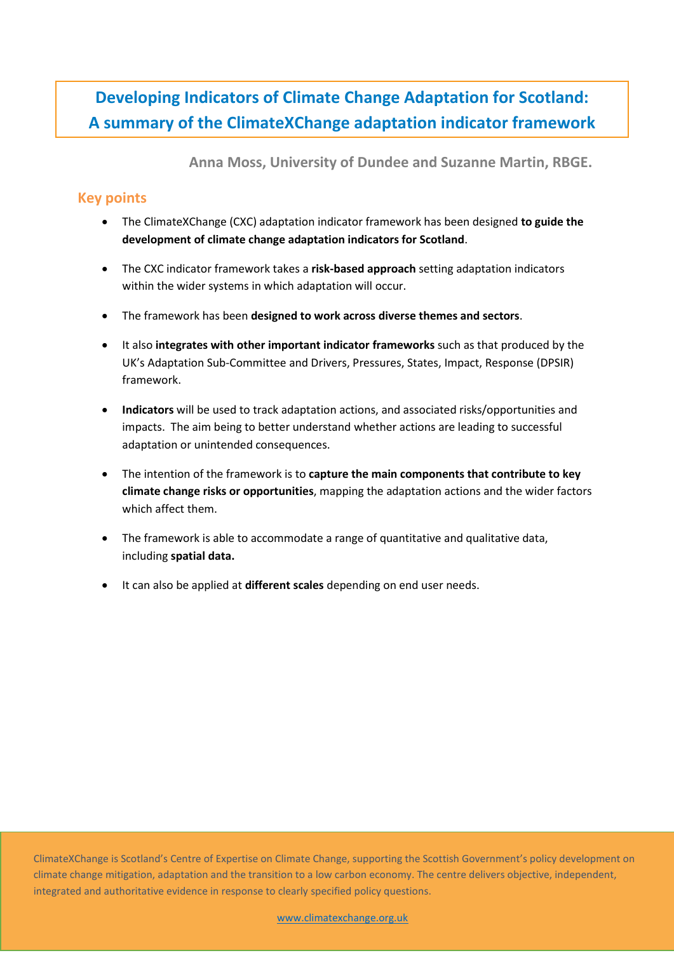# **Developing Indicators of Climate Change Adaptation for Scotland: A summary of the ClimateXChange adaptation indicator framework**

**Anna Moss, University of Dundee and Suzanne Martin, RBGE.**

# **Key points**

- The ClimateXChange (CXC) adaptation indicator framework has been designed **to guide the development of climate change adaptation indicators for Scotland**.
- The CXC indicator framework takes a **risk-based approach** setting adaptation indicators within the wider systems in which adaptation will occur.
- The framework has been **designed to work across diverse themes and sectors**.
- It also **integrates with other important indicator frameworks** such as that produced by the UK's Adaptation Sub-Committee and Drivers, Pressures, States, Impact, Response (DPSIR) framework.
- **Indicators** will be used to track adaptation actions, and associated risks/opportunities and impacts. The aim being to better understand whether actions are leading to successful adaptation or unintended consequences.
- The intention of the framework is to **capture the main components that contribute to key climate change risks or opportunities**, mapping the adaptation actions and the wider factors which affect them.
- The framework is able to accommodate a range of quantitative and qualitative data, including **spatial data.**
- It can also be applied at **different scales** depending on end user needs.

ClimateXChange is Scotland's Centre of Expertise on Climate Change, supporting the Scottish Government's policy development on climate change mitigation, adaptation and the transition to a low carbon economy. The centre delivers objective, independent, integrated and authoritative evidence in response to clearly specified policy questions.

[www.climatexchange.org.uk](file://///SNIFFER-DC01/Users/annemarte/CXC/www.climatexchange.org.uk)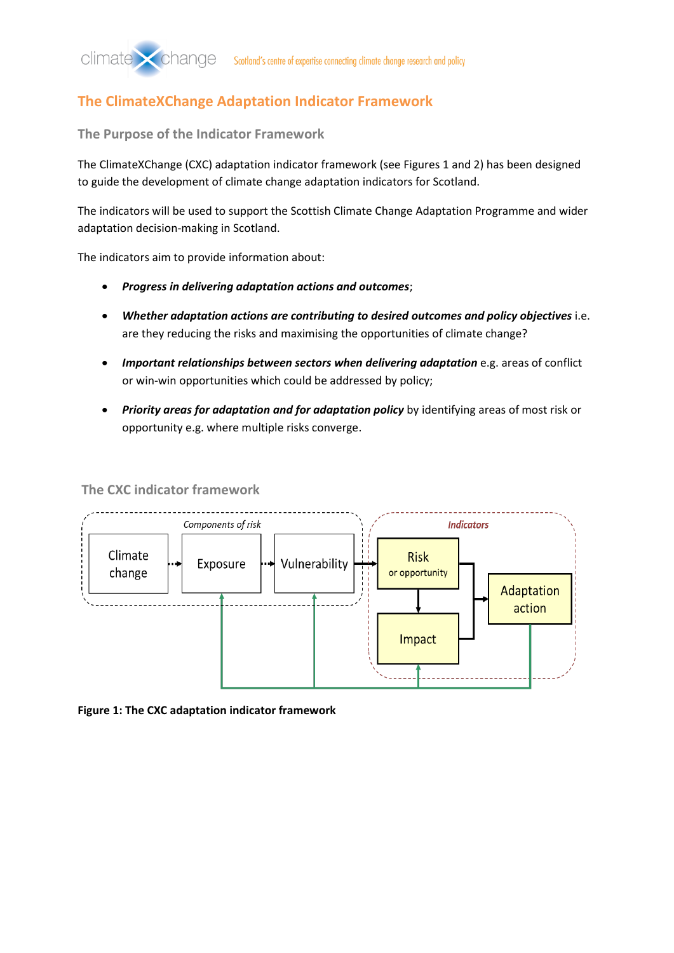# **The ClimateXChange Adaptation Indicator Framework**

**The Purpose of the Indicator Framework**

The ClimateXChange (CXC) adaptation indicator framework (see Figures 1 and 2) has been designed to guide the development of climate change adaptation indicators for Scotland.

The indicators will be used to support the Scottish Climate Change Adaptation Programme and wider adaptation decision-making in Scotland.

The indicators aim to provide information about:

- *Progress in delivering adaptation actions and outcomes*;
- *Whether adaptation actions are contributing to desired outcomes and policy objectives* i.e. are they reducing the risks and maximising the opportunities of climate change?
- *Important relationships between sectors when delivering adaptation* e.g. areas of conflict or win-win opportunities which could be addressed by policy;
- *Priority areas for adaptation and for adaptation policy* by identifying areas of most risk or opportunity e.g. where multiple risks converge.

**The CXC indicator framework**



**Figure 1: The CXC adaptation indicator framework**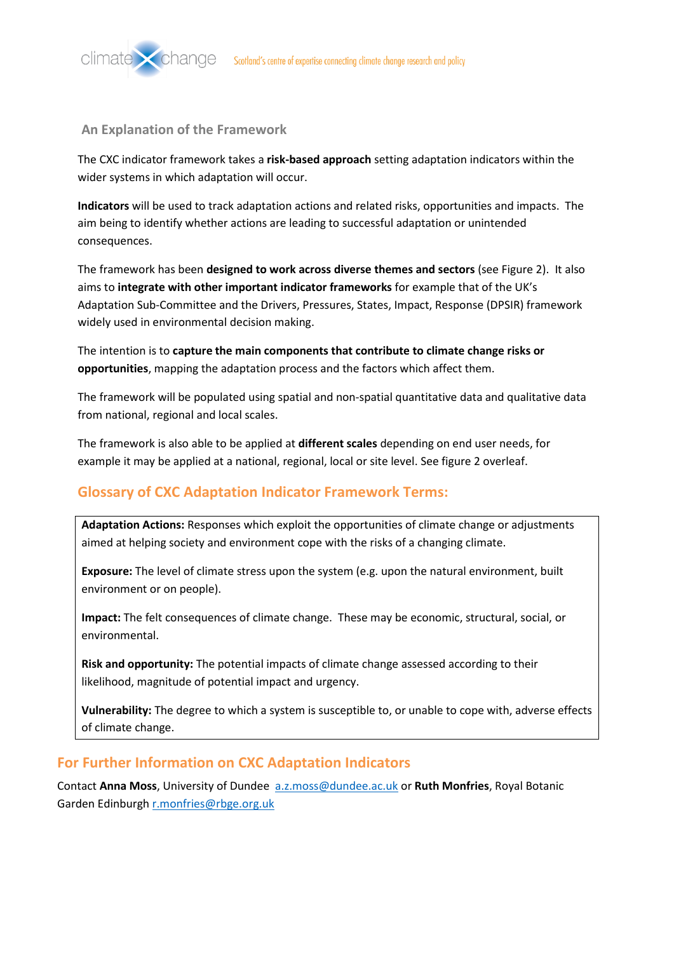

#### **An Explanation of the Framework**

The CXC indicator framework takes a **risk-based approach** setting adaptation indicators within the wider systems in which adaptation will occur.

**Indicators** will be used to track adaptation actions and related risks, opportunities and impacts. The aim being to identify whether actions are leading to successful adaptation or unintended consequences.

The framework has been **designed to work across diverse themes and sectors** (see Figure 2). It also aims to **integrate with other important indicator frameworks** for example that of the UK's Adaptation Sub-Committee and the Drivers, Pressures, States, Impact, Response (DPSIR) framework widely used in environmental decision making.

The intention is to **capture the main components that contribute to climate change risks or opportunities**, mapping the adaptation process and the factors which affect them.

The framework will be populated using spatial and non-spatial quantitative data and qualitative data from national, regional and local scales.

The framework is also able to be applied at **different scales** depending on end user needs, for example it may be applied at a national, regional, local or site level. See figure 2 overleaf.

## **Glossary of CXC Adaptation Indicator Framework Terms:**

**Adaptation Actions:** Responses which exploit the opportunities of climate change or adjustments aimed at helping society and environment cope with the risks of a changing climate.

**Exposure:** The level of climate stress upon the system (e.g. upon the natural environment, built environment or on people).

**Impact:** The felt consequences of climate change. These may be economic, structural, social, or environmental.

**Risk and opportunity:** The potential impacts of climate change assessed according to their likelihood, magnitude of potential impact and urgency.

**Vulnerability:** The degree to which a system is susceptible to, or unable to cope with, adverse effects of climate change.

## **For Further Information on CXC Adaptation Indicators**

Contact **Anna Moss**, University of Dundee [a.z.moss@dundee.ac.uk](mailto:a.z.moss@dundee.ac.uk) or **Ruth Monfries**, Royal Botanic Garden Edinburg[h r.monfries@rbge.org.uk](mailto:r.monfries@rbge.org.uk)